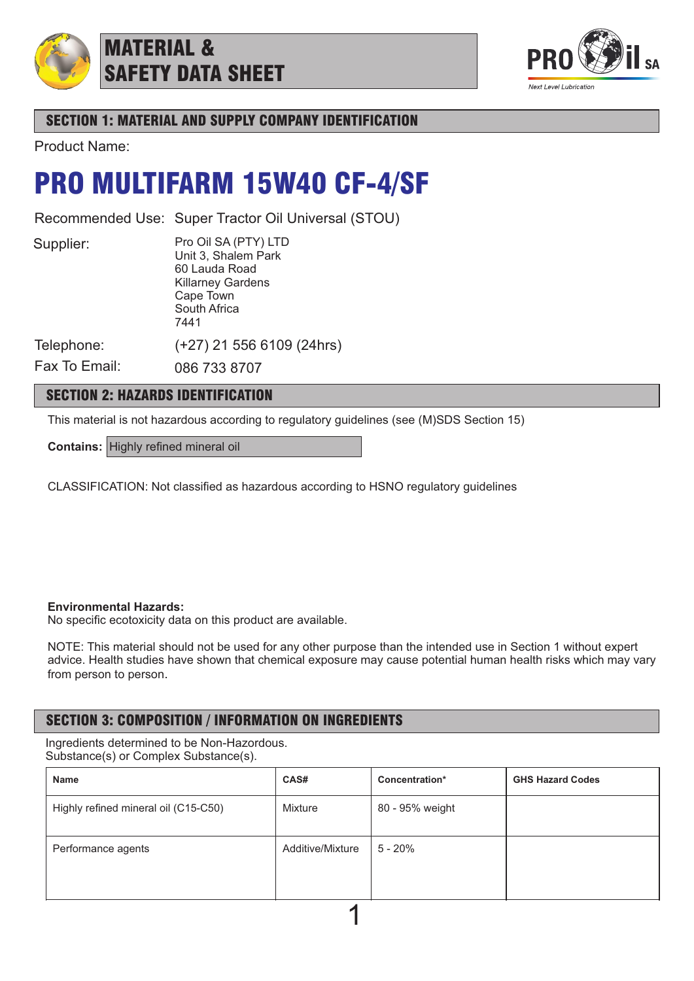

## MATERIAL & SAFETY DATA SHEET



## SECTION 1: MATERIAL AND SUPPLY COMPANY IDENTIFICATION

Product Name:

## PRO MULTIFARM 15W40 CF-4/SF

Recommended Use: Super Tractor Oil Universal (STOU)

Supplier:

Pro Oil SA (PTY) LTD Unit 3, Shalem Park 60 Lauda Road Killarney Gardens

(+27) 21 556 6109 (24hrs)

Cape Town South Africa

7441

Telephone:

Fax To Email: 086 733 8707

## SECTION 2: HAZARDS IDENTIFICATION

This material is not hazardous according to regulatory guidelines (see (M)SDS Section 15)

**Contains:** Highly refined mineral oil

CLASSIFICATION: Not classified as hazardous according to HSNO regulatory guidelines

### **Environmental Hazards:**

No specific ecotoxicity data on this product are available.

NOTE: This material should not be used for any other purpose than the intended use in Section 1 without expert advice. Health studies have shown that chemical exposure may cause potential human health risks which may vary from person to person.

## SECTION 3: COMPOSITION / INFORMATION ON INGREDIENTS

Ingredients determined to be Non-Hazordous. Substance(s) or Complex Substance(s).

| <b>Name</b>                          | CAS#             | Concentration*  | <b>GHS Hazard Codes</b> |
|--------------------------------------|------------------|-----------------|-------------------------|
| Highly refined mineral oil (C15-C50) | Mixture          | 80 - 95% weight |                         |
| Performance agents                   | Additive/Mixture | $5 - 20%$       |                         |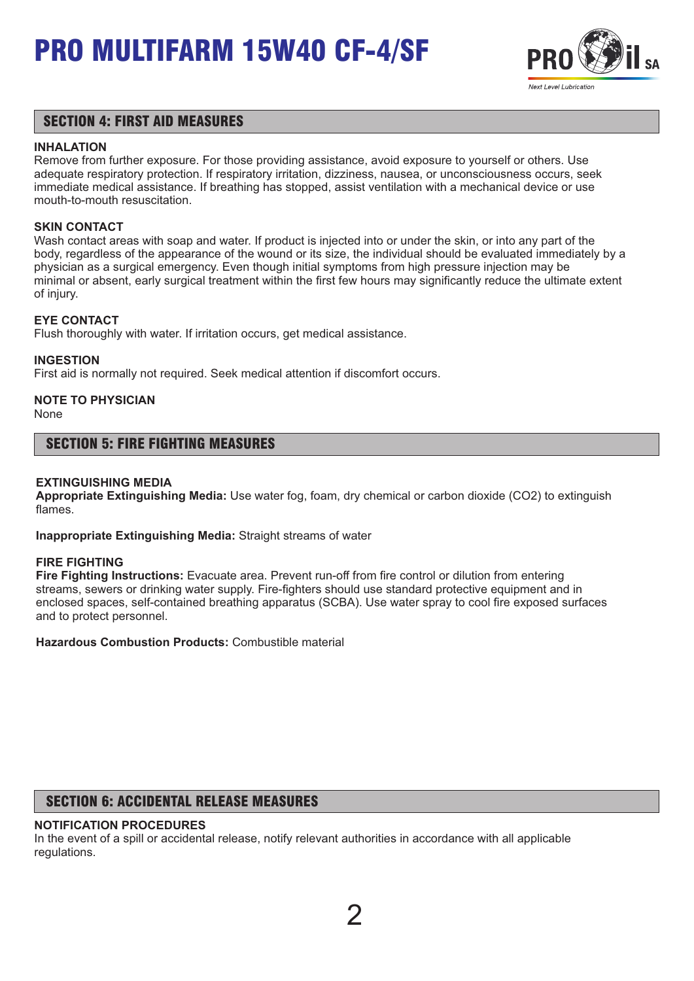

### SECTION 4: FIRST AID MEASURES

### **INHALATION**

Remove from further exposure. For those providing assistance, avoid exposure to yourself or others. Use adequate respiratory protection. If respiratory irritation, dizziness, nausea, or unconsciousness occurs, seek immediate medical assistance. If breathing has stopped, assist ventilation with a mechanical device or use mouth-to-mouth resuscitation.

### **SKIN CONTACT**

Wash contact areas with soap and water. If product is injected into or under the skin, or into any part of the body, regardless of the appearance of the wound or its size, the individual should be evaluated immediately by a physician as a surgical emergency. Even though initial symptoms from high pressure injection may be minimal or absent, early surgical treatment within the first few hours may significantly reduce the ultimate extent of injury.

### **EYE CONTACT**

Flush thoroughly with water. If irritation occurs, get medical assistance.

### **INGESTION**

First aid is normally not required. Seek medical attention if discomfort occurs.

## **NOTE TO PHYSICIAN**

None

### SECTION 5: FIRE FIGHTING MEASURES

### **EXTINGUISHING MEDIA**

**Appropriate Extinguishing Media:** Use water fog, foam, dry chemical or carbon dioxide (CO2) to extinguish flames.

**Inappropriate Extinguishing Media:** Straight streams of water

#### **FIRE FIGHTING**

**Fire Fighting Instructions:** Evacuate area. Prevent run-off from fire control or dilution from entering streams, sewers or drinking water supply. Fire-fighters should use standard protective equipment and in enclosed spaces, self-contained breathing apparatus (SCBA). Use water spray to cool fire exposed surfaces and to protect personnel.

**Hazardous Combustion Products:** Combustible material

## SECTION 6: ACCIDENTAL RELEASE MEASURES

### **NOTIFICATION PROCEDURES**

In the event of a spill or accidental release, notify relevant authorities in accordance with all applicable regulations.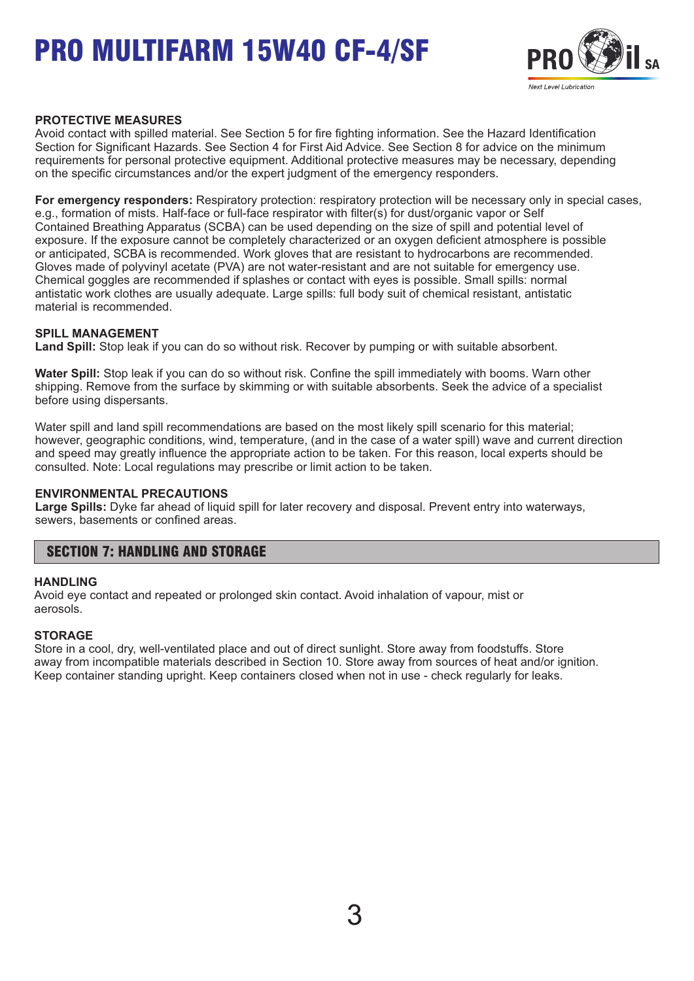

### **PROTECTIVE MEASURES**

Avoid contact with spilled material. See Section 5 for fire fighting information. See the Hazard Identification Section for Significant Hazards. See Section 4 for First Aid Advice. See Section 8 for advice on the minimum requirements for personal protective equipment. Additional protective measures may be necessary, depending on the specific circumstances and/or the expert judgment of the emergency responders.

**For emergency responders:** Respiratory protection: respiratory protection will be necessary only in special cases, e.g., formation of mists. Half-face or full-face respirator with filter(s) for dust/organic vapor or Self Contained Breathing Apparatus (SCBA) can be used depending on the size of spill and potential level of exposure. If the exposure cannot be completely characterized or an oxygen deficient atmosphere is possible or anticipated, SCBA is recommended. Work gloves that are resistant to hydrocarbons are recommended. Gloves made of polyvinyl acetate (PVA) are not water-resistant and are not suitable for emergency use. Chemical goggles are recommended if splashes or contact with eyes is possible. Small spills: normal antistatic work clothes are usually adequate. Large spills: full body suit of chemical resistant, antistatic material is recommended.

### **SPILL MANAGEMENT**

**Land Spill:** Stop leak if you can do so without risk. Recover by pumping or with suitable absorbent.

**Water Spill:** Stop leak if you can do so without risk. Confine the spill immediately with booms. Warn other shipping. Remove from the surface by skimming or with suitable absorbents. Seek the advice of a specialist before using dispersants.

Water spill and land spill recommendations are based on the most likely spill scenario for this material; however, geographic conditions, wind, temperature, (and in the case of a water spill) wave and current direction and speed may greatly influence the appropriate action to be taken. For this reason, local experts should be consulted. Note: Local regulations may prescribe or limit action to be taken.

#### **ENVIRONMENTAL PRECAUTIONS**

**Large Spills:** Dyke far ahead of liquid spill for later recovery and disposal. Prevent entry into waterways, sewers, basements or confined areas.

### SECTION 7: HANDLING AND STORAGE

#### **HANDLING**

Avoid eye contact and repeated or prolonged skin contact. Avoid inhalation of vapour, mist or aerosols.

#### **STORAGE**

Store in a cool, dry, well-ventilated place and out of direct sunlight. Store away from foodstuffs. Store away from incompatible materials described in Section 10. Store away from sources of heat and/or ignition. Keep container standing upright. Keep containers closed when not in use - check regularly for leaks.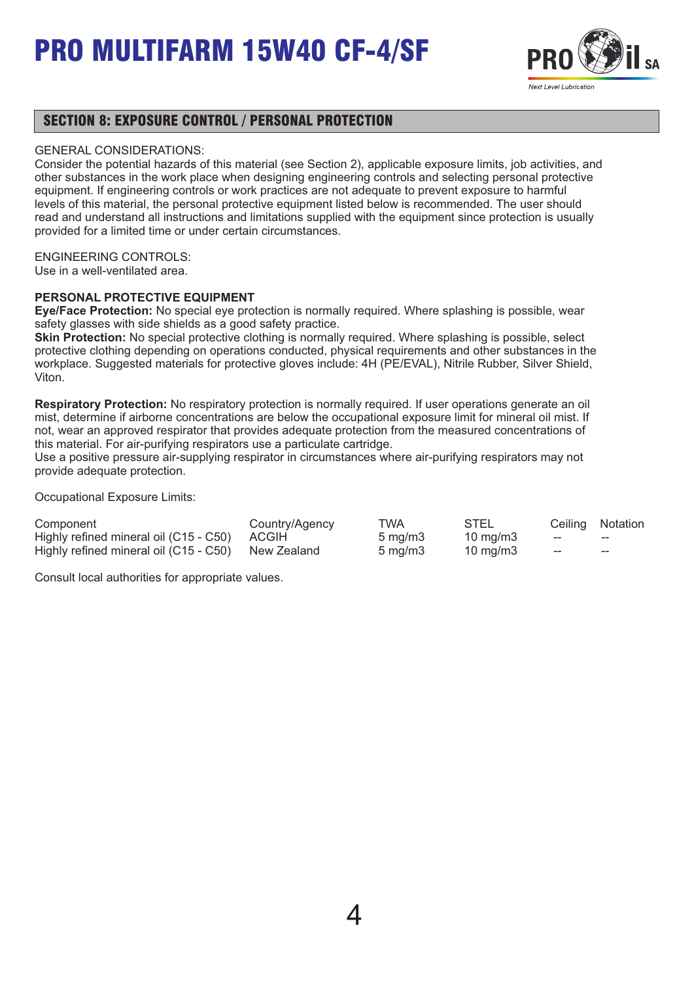

### SECTION 8: EXPOSURE CONTROL / PERSONAL PROTECTION

### GENERAL CONSIDERATIONS:

Consider the potential hazards of this material (see Section 2), applicable exposure limits, job activities, and other substances in the work place when designing engineering controls and selecting personal protective equipment. If engineering controls or work practices are not adequate to prevent exposure to harmful levels of this material, the personal protective equipment listed below is recommended. The user should read and understand all instructions and limitations supplied with the equipment since protection is usually provided for a limited time or under certain circumstances.

### ENGINEERING CONTROLS:

Use in a well-ventilated area.

### **PERSONAL PROTECTIVE EQUIPMENT**

**Eye/Face Protection:** No special eye protection is normally required. Where splashing is possible, wear safety glasses with side shields as a good safety practice.

**Skin Protection:** No special protective clothing is normally required. Where splashing is possible, select protective clothing depending on operations conducted, physical requirements and other substances in the workplace. Suggested materials for protective gloves include: 4H (PE/EVAL), Nitrile Rubber, Silver Shield, Viton.

**Respiratory Protection:** No respiratory protection is normally required. If user operations generate an oil mist, determine if airborne concentrations are below the occupational exposure limit for mineral oil mist. If not, wear an approved respirator that provides adequate protection from the measured concentrations of this material. For air-purifying respirators use a particulate cartridge.

Use a positive pressure air-supplying respirator in circumstances where air-purifying respirators may not provide adequate protection.

Occupational Exposure Limits:

| Component                                          | Country/Agency | TWA                 | STEL              |     | Ceiling Notation |
|----------------------------------------------------|----------------|---------------------|-------------------|-----|------------------|
| Highly refined mineral oil (C15 - C50) ACGIH       |                | $5 \,\mathrm{mq/m}$ | $10 \text{ mg/m}$ | $-$ | $- -$            |
| Highly refined mineral oil (C15 - C50) New Zealand |                | $5 \text{ ma/m}$ 3  | 10 mg/m3          | ——  | $- -$            |

Consult local authorities for appropriate values.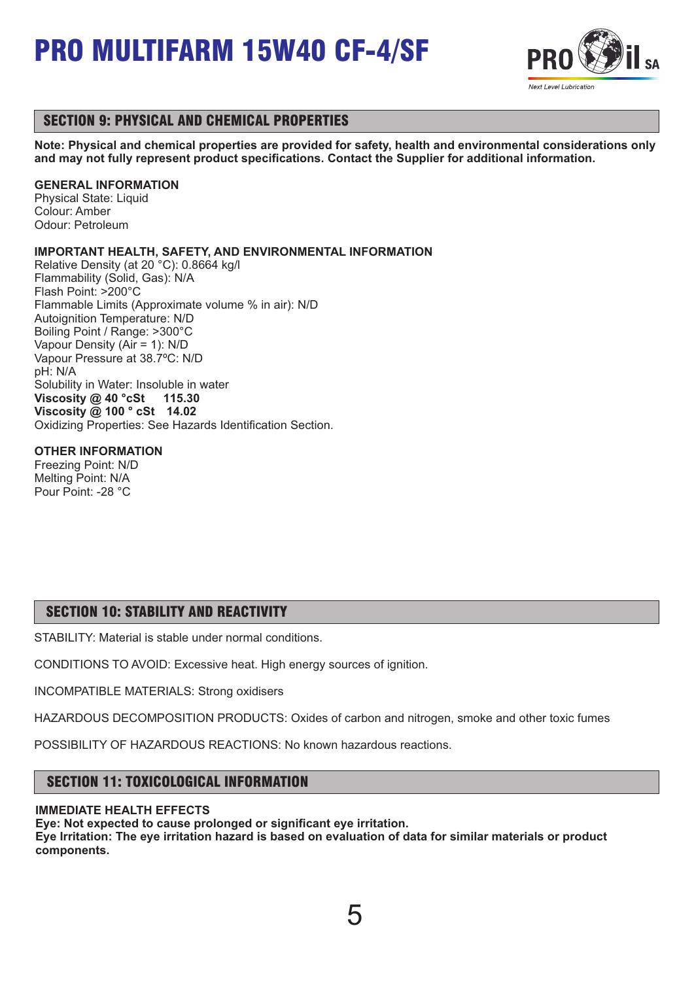

## SECTION 9: PHYSICAL AND CHEMICAL PROPERTIES

**Note: Physical and chemical properties are provided for safety, health and environmental considerations only and may not fully represent product specifications. Contact the Supplier for additional information.**

### **GENERAL INFORMATION**

Physical State: Liquid Colour: Amber Odour: Petroleum

### **IMPORTANT HEALTH, SAFETY, AND ENVIRONMENTAL INFORMATION**

Relative Density (at 20 °C): 0.8664 kg/l Flammability (Solid, Gas): N/A Flash Point: >200°C Flammable Limits (Approximate volume % in air): N/D Autoignition Temperature: N/D Boiling Point / Range: >300°C Vapour Density (Air = 1): N/D Vapour Pressure at 38.7ºC: N/D pH: N/A Solubility in Water: Insoluble in water **Viscosity @ 40 °cSt 115.30 Viscosity @ 100 ° cSt 14.02** Oxidizing Properties: See Hazards Identification Section.

### **OTHER INFORMATION**

Freezing Point: N/D Melting Point: N/A Pour Point: -28 °C

## SECTION 10: STABILITY AND REACTIVITY

STABILITY: Material is stable under normal conditions.

CONDITIONS TO AVOID: Excessive heat. High energy sources of ignition.

INCOMPATIBLE MATERIALS: Strong oxidisers

HAZARDOUS DECOMPOSITION PRODUCTS: Oxides of carbon and nitrogen, smoke and other toxic fumes

POSSIBILITY OF HAZARDOUS REACTIONS: No known hazardous reactions.

## SECTION 11: TOXICOLOGICAL INFORMATION

### **IMMEDIATE HEALTH EFFECTS**

**Eye: Not expected to cause prolonged or significant eye irritation. Eye Irritation: The eye irritation hazard is based on evaluation of data for similar materials or product components.** 

5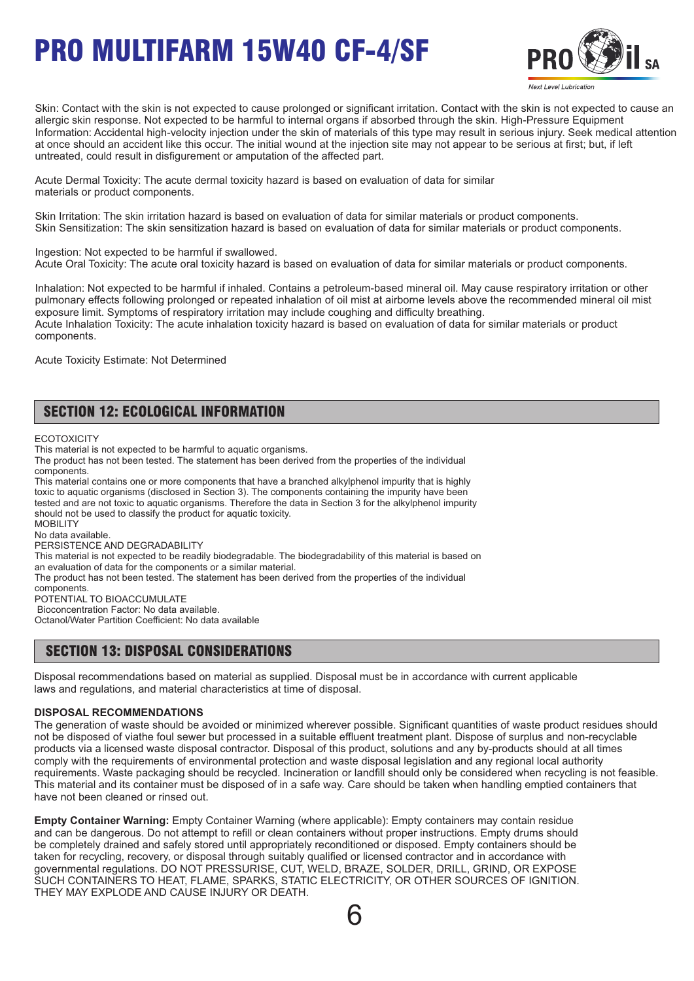

Skin: Contact with the skin is not expected to cause prolonged or significant irritation. Contact with the skin is not expected to cause an allergic skin response. Not expected to be harmful to internal organs if absorbed through the skin. High-Pressure Equipment Information: Accidental high-velocity injection under the skin of materials of this type may result in serious injury. Seek medical attention at once should an accident like this occur. The initial wound at the injection site may not appear to be serious at first; but, if left untreated, could result in disfigurement or amputation of the affected part.

Acute Dermal Toxicity: The acute dermal toxicity hazard is based on evaluation of data for similar materials or product components.

Skin Irritation: The skin irritation hazard is based on evaluation of data for similar materials or product components. Skin Sensitization: The skin sensitization hazard is based on evaluation of data for similar materials or product components.

Ingestion: Not expected to be harmful if swallowed. Acute Oral Toxicity: The acute oral toxicity hazard is based on evaluation of data for similar materials or product components.

Inhalation: Not expected to be harmful if inhaled. Contains a petroleum-based mineral oil. May cause respiratory irritation or other pulmonary effects following prolonged or repeated inhalation of oil mist at airborne levels above the recommended mineral oil mist exposure limit. Symptoms of respiratory irritation may include coughing and difficulty breathing. Acute Inhalation Toxicity: The acute inhalation toxicity hazard is based on evaluation of data for similar materials or product components.

Acute Toxicity Estimate: Not Determined

## SECTION 12: ECOLOGICAL INFORMATION

**ECOTOXICITY** 

This material is not expected to be harmful to aquatic organisms.

The product has not been tested. The statement has been derived from the properties of the individual components.

This material contains one or more components that have a branched alkylphenol impurity that is highly toxic to aquatic organisms (disclosed in Section 3). The components containing the impurity have been tested and are not toxic to aquatic organisms. Therefore the data in Section 3 for the alkylphenol impurity should not be used to classify the product for aquatic toxicity. **MOBILITY** No data available. PERSISTENCE AND DEGRADABILITY This material is not expected to be readily biodegradable. The biodegradability of this material is based on

an evaluation of data for the components or a similar material.

The product has not been tested. The statement has been derived from the properties of the individual

components. POTENTIAL TO BIOACCUMULATE

Bioconcentration Factor: No data available.

Octanol/Water Partition Coefficient: No data available

### SECTION 13: DISPOSAL CONSIDERATIONS

Disposal recommendations based on material as supplied. Disposal must be in accordance with current applicable laws and regulations, and material characteristics at time of disposal.

#### **DISPOSAL RECOMMENDATIONS**

The generation of waste should be avoided or minimized wherever possible. Significant quantities of waste product residues should not be disposed of viathe foul sewer but processed in a suitable effluent treatment plant. Dispose of surplus and non-recyclable products via a licensed waste disposal contractor. Disposal of this product, solutions and any by-products should at all times comply with the requirements of environmental protection and waste disposal legislation and any regional local authority requirements. Waste packaging should be recycled. Incineration or landfill should only be considered when recycling is not feasible. This material and its container must be disposed of in a safe way. Care should be taken when handling emptied containers that have not been cleaned or rinsed out.

**Empty Container Warning:** Empty Container Warning (where applicable): Empty containers may contain residue and can be dangerous. Do not attempt to refill or clean containers without proper instructions. Empty drums should be completely drained and safely stored until appropriately reconditioned or disposed. Empty containers should be taken for recycling, recovery, or disposal through suitably qualified or licensed contractor and in accordance with governmental regulations. DO NOT PRESSURISE, CUT, WELD, BRAZE, SOLDER, DRILL, GRIND, OR EXPOSE SUCH CONTAINERS TO HEAT, FLAME, SPARKS, STATIC ELECTRICITY, OR OTHER SOURCES OF IGNITION. THEY MAY EXPLODE AND CAUSE INJURY OR DEATH.